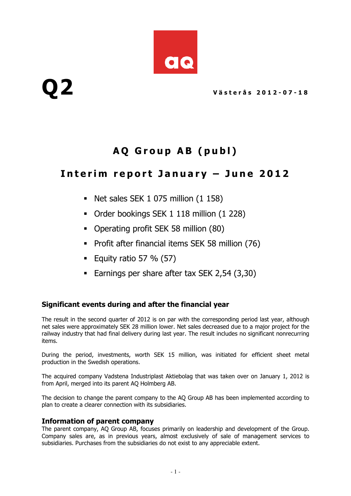

# Q 2 Västerås 2012-07-18

# AQ Group AB (publ)

# Interim report January  $-$  June 2012

- Net sales SEK 1 075 million (1 158)
- Order bookings SEK 1 118 million (1 228)
- Operating profit SEK 58 million (80)
- Profit after financial items SEK 58 million (76)
- Equity ratio 57 %  $(57)$
- **Earnings per share after tax SEK 2,54 (3,30)**

#### Significant events during and after the financial year

The result in the second quarter of 2012 is on par with the corresponding period last year, although net sales were approximately SEK 28 million lower. Net sales decreased due to a major project for the railway industry that had final delivery during last year. The result includes no significant nonrecurring items.

During the period, investments, worth SEK 15 million, was initiated for efficient sheet metal production in the Swedish operations.

The acquired company Vadstena Industriplast Aktiebolag that was taken over on January 1, 2012 is from April, merged into its parent AQ Holmberg AB.

The decision to change the parent company to the AQ Group AB has been implemented according to plan to create a clearer connection with its subsidiaries.

#### Information of parent company

The parent company, AQ Group AB, focuses primarily on leadership and development of the Group. Company sales are, as in previous years, almost exclusively of sale of management services to subsidiaries. Purchases from the subsidiaries do not exist to any appreciable extent.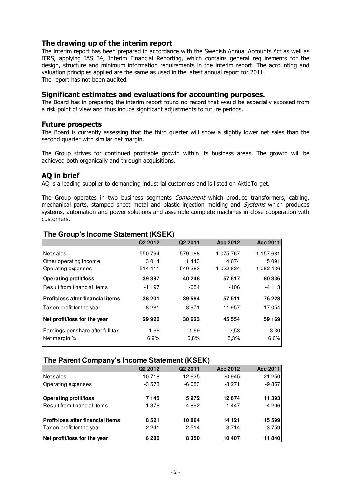#### The drawing up of the interim report

The interim report has been prepared in accordance with the Swedish Annual Accounts Act as well as IFRS, applying IAS 34, Interim Financial Reporting, which contains general requirements for the design, structure and minimum information requirements in the interim report. The accounting and valuation principles applied are the same as used in the latest annual report for 2011. The report has not been audited.

#### Significant estimates and evaluations for accounting purposes.

The Board has in preparing the interim report found no record that would be especially exposed from a risk point of view and thus induce significant adjustments to future periods.

#### Future prospects

The Board is currently assessing that the third quarter will show a slightly lower net sales than the second quarter with similar net margin.

The Group strives for continued profitable growth within its business areas. The growth will be achieved both organically and through acquisitions.

#### AQ in brief

AQ is a leading supplier to demanding industrial customers and is listed on AktieTorget.

The Group operates in two business segments *Component* which produce transformers, cabling, mechanical parts, stamped sheet metal and plastic injection molding and *Systems* which produces systems, automation and power solutions and assemble complete machines in close cooperation with customers.

|                                   | Q <sub>2</sub> 2012 | Q <sub>2</sub> 2011 | Acc 2012   | <b>Acc 2011</b> |
|-----------------------------------|---------------------|---------------------|------------|-----------------|
| Net sales                         | 550 794             | 579 088             | 1 075 767  | 1157681         |
| Other operating income            | 3014                | 1443                | 4674       | 5091            |
| Operating expenses                | $-514411$           | $-540283$           | $-1022824$ | $-1082436$      |
| <b>Operating profit/loss</b>      | 39 397              | 40 248              | 57 617     | 80 336          |
| Result from financial items       | $-1197$             | -654                | $-106$     | -4 113          |
| Profit/loss after financial items | 38 201              | 39 594              | 57 511     | 76 223          |
| Tax on profit for the year        | $-8281$             | -8 971              | $-11957$   | $-17054$        |
| Net profit/loss for the year      | 29 9 20             | 30 623              | 45 554     | 59 169          |
| Earnings per share after full tax | 1,66                | 1,69                | 2,53       | 3,30            |
| Net margin %                      | 6.9%                | 6,8%                | 5,3%       | 6,6%            |

#### **The Group's Income Statement (KSEK)**

#### **The Parent Company's Income Statement (KSEK)**

| $\ldots$ , $\ldots$ , $\ldots$ , $\ldots$ , $\ldots$ , $\ldots$ , $\ldots$ , $\ldots$ , $\ldots$ , $\ldots$ , $\ldots$ , $\ldots$ , $\ldots$ , $\ldots$ , $\ldots$ , $\ldots$ , $\ldots$ , $\ldots$ , $\ldots$ , $\ldots$ , $\ldots$ , $\ldots$ , $\ldots$ , $\ldots$ , $\ldots$ , $\ldots$ , $\ldots$ , $\ldots$ , $\ldots$ , $\ldots$ , $\ldots$ , $\ldots$ |                     |                     |          |                 |  |  |
|---------------------------------------------------------------------------------------------------------------------------------------------------------------------------------------------------------------------------------------------------------------------------------------------------------------------------------------------------------------|---------------------|---------------------|----------|-----------------|--|--|
|                                                                                                                                                                                                                                                                                                                                                               | Q <sub>2</sub> 2012 | Q <sub>2</sub> 2011 | Acc 2012 | <b>Acc 2011</b> |  |  |
| Net sales                                                                                                                                                                                                                                                                                                                                                     | 10718               | 12625               | 20 945   | 21 250          |  |  |
| Operating expenses                                                                                                                                                                                                                                                                                                                                            | $-3573$             | $-6653$             | $-8271$  | $-9857$         |  |  |
| <b>Operating profit/loss</b>                                                                                                                                                                                                                                                                                                                                  | 7145                | 5972                | 12 674   | 11 393          |  |  |
| Result from financial items                                                                                                                                                                                                                                                                                                                                   | 1376                | 4892                | 1447     | 4 206           |  |  |
| Profit/loss after financial items                                                                                                                                                                                                                                                                                                                             | 8521                | 10864               | 14 121   | 15 599          |  |  |
| Tax on profit for the year                                                                                                                                                                                                                                                                                                                                    | $-2241$             | $-2514$             | $-3714$  | $-3759$         |  |  |
| Net profit/loss for the year                                                                                                                                                                                                                                                                                                                                  | 6280                | 8 3 5 0             | 10 407   | 11840           |  |  |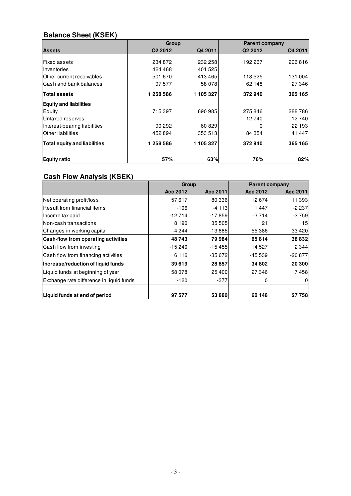## **Balance Sheet (KSEK)**

|                                     | Group               |           | <b>Parent company</b> |         |
|-------------------------------------|---------------------|-----------|-----------------------|---------|
| <b>Assets</b>                       | Q <sub>2</sub> 2012 | Q4 2011   | Q <sub>2</sub> 2012   | Q4 2011 |
| lFixed assets                       | 234 872             | 232 258   | 192 267               | 206816  |
| Inventories                         | 424 468             | 401 525   |                       |         |
| Other current receivables           | 501 670             | 413465    | 118 525               | 131 004 |
| Cash and bank balances              | 97 577              | 58 078    | 62 148                | 27 346  |
| <b>Total assets</b>                 | 1 258 586           | 1 105 327 | 372940                | 365 165 |
| <b>Equity and liabilities</b>       |                     |           |                       |         |
| Equity                              | 715 397             | 690 985   | 275846                | 288786  |
| Untaxed reserves                    |                     |           | 12740                 | 12740   |
| Interest-bearing liabilities        | 90 29 2             | 60829     | ŋ                     | 22 193  |
| Other liabilities                   | 452 894             | 353 513   | 84 354                | 41 447  |
| <b>Total equity and liabilities</b> | 1 258 586           | 1 105 327 | 372940                | 365 165 |
| <b>Equity ratio</b>                 | 57%                 | 63%       | 76%                   | 82%     |

## **Cash Flow Analysis (KSEK)**

|                                            | Group    |          | <b>Parent company</b> |                 |
|--------------------------------------------|----------|----------|-----------------------|-----------------|
|                                            | Acc 2012 | Acc 2011 | Acc 2012              | Acc 2011        |
| Net operating profit/loss                  | 57617    | 80 336   | 12674                 | 11 393          |
| lResult from financial items               | $-106$   | $-4113$  | 1447                  | $-2237$         |
| Income tax paid                            | $-12714$ | $-17859$ | $-3714$               | $-3759$         |
| INon-cash transactions                     | 8 1 9 0  | 35 505   | 21                    | 15 <sub>l</sub> |
| Changes in working capital                 | -4 244   | $-13885$ | 55 386                | 33 4 20         |
| <b>Cash-flow from operating activities</b> | 48743    | 79 984   | 65814                 | 38832           |
| Cash flow from investing                   | $-15240$ | $-15455$ | 14 527                | 2 3 4 4         |
| Cash flow from financing activities        | 6116     | $-35672$ | $-45539$              | $-20877$        |
| Increase/reduction of liquid funds         | 39 619   | 28 857   | 34 802                | 20 300          |
| Liquid funds at beginning of year          | 58 078   | 25 400   | 27 346                | 7458            |
| Exchange rate difference in liquid funds   | $-120$   | $-377$   | 0                     | $\mathbf 0$     |
|                                            |          |          |                       |                 |
| Liquid funds at end of period              | 97 577   | 53 880   | 62 148                | 27 758          |